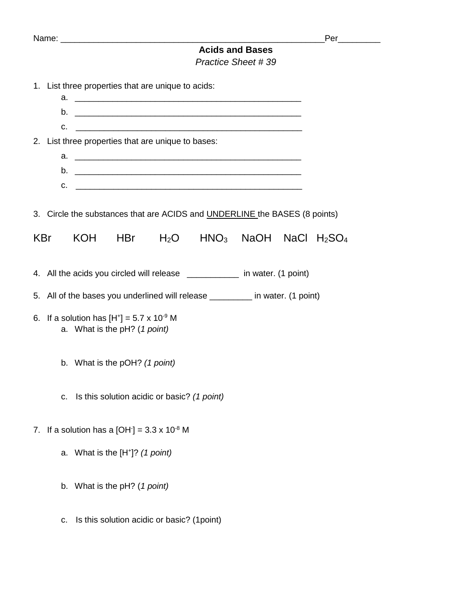|                                              |                                                                                     |            |                                             |              |                                                                            |                          |  | Per ______ |  |
|----------------------------------------------|-------------------------------------------------------------------------------------|------------|---------------------------------------------|--------------|----------------------------------------------------------------------------|--------------------------|--|------------|--|
| <b>Acids and Bases</b><br>Practice Sheet #39 |                                                                                     |            |                                             |              |                                                                            |                          |  |            |  |
|                                              | 1. List three properties that are unique to acids:                                  |            |                                             |              |                                                                            |                          |  |            |  |
|                                              |                                                                                     |            |                                             |              | $C.$ $\qquad \qquad$                                                       |                          |  |            |  |
|                                              | 2. List three properties that are unique to bases:                                  |            |                                             |              |                                                                            |                          |  |            |  |
|                                              |                                                                                     |            |                                             |              | $C.$ $\qquad \qquad$                                                       |                          |  |            |  |
|                                              |                                                                                     |            |                                             |              | 3. Circle the substances that are ACIDS and UNDERLINE the BASES (8 points) |                          |  |            |  |
|                                              | KBr                                                                                 | <b>KOH</b> |                                             | $HBr$ $H_2O$ |                                                                            | $HNO3$ NaOH NaCl $H2SO4$ |  |            |  |
|                                              |                                                                                     |            |                                             |              | 4. All the acids you circled will release __________ in water. (1 point)   |                          |  |            |  |
|                                              | 5. All of the bases you underlined will release ________ in water. (1 point)        |            |                                             |              |                                                                            |                          |  |            |  |
|                                              | 6. If a solution has $[H^+] = 5.7 \times 10^{-9}$ M<br>a. What is the pH? (1 point) |            |                                             |              |                                                                            |                          |  |            |  |
|                                              |                                                                                     |            | b. What is the pOH? (1 point)               |              |                                                                            |                          |  |            |  |
|                                              | C.                                                                                  |            | Is this solution acidic or basic? (1 point) |              |                                                                            |                          |  |            |  |
| 7.                                           | If a solution has a $[OH] = 3.3 \times 10^{-8}$ M                                   |            |                                             |              |                                                                            |                          |  |            |  |
|                                              |                                                                                     |            | a. What is the $[H^*]$ ? (1 point)          |              |                                                                            |                          |  |            |  |
|                                              | b.                                                                                  |            | What is the pH? (1 point)                   |              |                                                                            |                          |  |            |  |
|                                              | c.                                                                                  |            | Is this solution acidic or basic? (1point)  |              |                                                                            |                          |  |            |  |